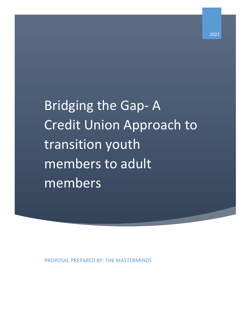Bridging the Gap- A Credit Union Approach to transition youth members to adult members

PROPOSAL PREPARED BY: THE MASTERMINDS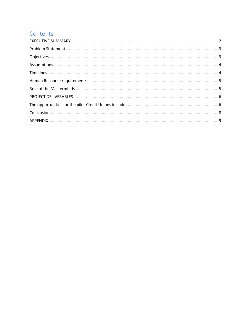# Contents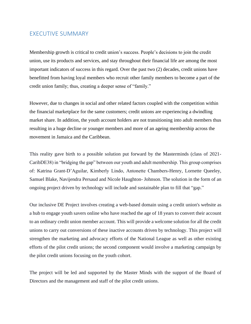#### <span id="page-2-0"></span>EXECUTIVE SUMMARY

Membership growth is critical to credit union's success. People's decisions to join the credit union, use its products and services, and stay throughout their financial life are among the most important indicators of success in this regard. Over the past two (2) decades, credit unions have benefitted from having loyal members who recruit other family members to become a part of the credit union family; thus, creating a deeper sense of "family."

However, due to changes in social and other related factors coupled with the competition within the financial marketplace for the same customers; credit unions are experiencing a dwindling market share. In addition, the youth account holders are not transitioning into adult members thus resulting in a huge decline or younger members and more of an ageing membership across the movement in Jamaica and the Caribbean.

This reality gave birth to a possible solution put forward by the Masterminds (class of 2021- CaribDE38) in "bridging the gap" between our youth and adult membership. This group comprises of: Katrina Grant-D'Aguilar, Kimberly Lindo, Antonette Chambers-Henry, Lornette Queeley, Samuel Blake, Navijendra Persaud and Nicole Haughton- Johnson. The solution in the form of an ongoing project driven by technology will include and sustainable plan to fill that "gap."

Our inclusive DE Project involves creating a web-based domain using a credit union's website as a hub to engage youth savers online who have reached the age of 18 years to convert their account to an ordinary credit union member account. This will provide a welcome solution for all the credit unions to carry out conversions of these inactive accounts driven by technology. This project will strengthen the marketing and advocacy efforts of the National League as well as other existing efforts of the pilot credit unions; the second component would involve a marketing campaign by the pilot credit unions focusing on the youth cohort.

The project will be led and supported by the Master Minds with the support of the Board of Directors and the management and staff of the pilot credit unions.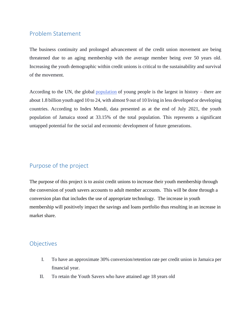## <span id="page-3-0"></span>Problem Statement

The business continuity and prolonged advancement of the credit union movement are being threatened due to an aging membership with the average member being over 50 years old. Increasing the youth demographic within credit unions is critical to the sustainability and survival of the movement.

According to the UN, the global [population](https://www.unfpa.org/sites/default/files/pub-pdf/EN-SWOP14-Report_FINAL-web.pdf) of young people is the largest in history – there are about 1.8 billion youth aged 10 to 24, with almost 9 out of 10 living in less developed or developing countries. According to Index Mundi, data presented as at the end of July 2021, the youth population of Jamaica stood at 33.15% of the total population. This represents a significant untapped potential for the social and economic development of future generations.

# <span id="page-3-1"></span>Purpose of the project

The purpose of this project is to assist credit unions to increase their youth membership through the conversion of youth savers accounts to adult member accounts. This will be done through a conversion plan that includes the use of appropriate technology. The increase in youth membership will positively impact the savings and loans portfolio thus resulting in an increase in market share.

## Objectives

- I. To have an approximate 30% conversion/retention rate per credit union in Jamaica per financial year.
- II. To retain the Youth Savers who have attained age 18 years old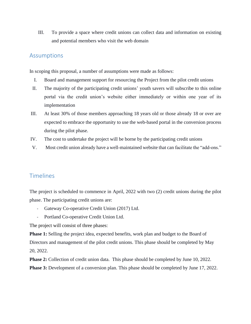III. To provide a space where credit unions can collect data and information on existing and potential members who visit the web domain

#### <span id="page-4-0"></span>Assumptions

In scoping this proposal, a number of assumptions were made as follows:

- I. Board and management support for resourcing the Project from the pilot credit unions
- II. The majority of the participating credit unions' youth savers will subscribe to this online portal via the credit union's website either immediately or within one year of its implementation
- III. At least 30% of those members approaching 18 years old or those already 18 or over are expected to embrace the opportunity to use the web-based portal in the conversion process during the pilot phase.
- IV. The cost to undertake the project will be borne by the participating credit unions
- <span id="page-4-1"></span>V. Most credit union already have a well-maintained website that can facilitate the "add-ons."

## Timelines

The project is scheduled to commence in April, 2022 with two (2) credit unions during the pilot phase. The participating credit unions are:

- Gateway Co-operative Credit Union (2017) Ltd.
- Portland Co-operative Credit Union Ltd.

The project will consist of three phases:

**Phase 1:** Selling the project idea, expected benefits, work plan and budget to the Board of Directors and management of the pilot credit unions. This phase should be completed by May 20, 2022.

**Phase 2:** Collection of credit union data. This phase should be completed by June 10, 2022. **Phase 3:** Development of a conversion plan. This phase should be completed by June 17, 2022.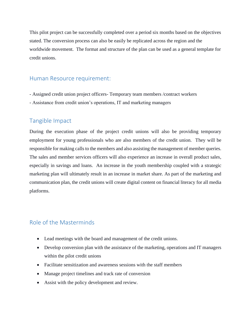This pilot project can be successfully completed over a period six months based on the objectives stated. The conversion process can also be easily be replicated across the region and the worldwide movement. The format and structure of the plan can be used as a general template for credit unions.

### <span id="page-5-0"></span>Human Resource requirement:

- Assigned credit union project officers- Temporary team members /contract workers
- Assistance from credit union's operations, IT and marketing managers

### Tangible Impact

During the execution phase of the project credit unions will also be providing temporary employment for young professionals who are also members of the credit union. They will be responsible for making calls to the members and also assisting the management of member queries. The sales and member services officers will also experience an increase in overall product sales, especially in savings and loans. An increase in the youth membership coupled with a strategic marketing plan will ultimately result in an increase in market share. As part of the marketing and communication plan, the credit unions will create digital content on financial literacy for all media platforms.

## <span id="page-5-1"></span>Role of the Masterminds

- Lead meetings with the board and management of the credit unions.
- Develop conversion plan with the assistance of the marketing, operations and IT managers within the pilot credit unions
- Facilitate sensitization and awareness sessions with the staff members
- Manage project timelines and track rate of conversion
- Assist with the policy development and review.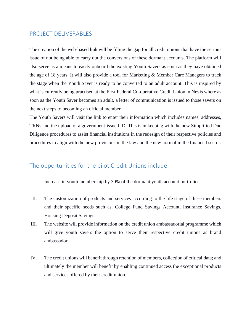### <span id="page-6-0"></span>PROJECT DELIVERABLES

The creation of the web-based link will be filling the gap for all credit unions that have the serious issue of not being able to carry out the conversions of these dormant accounts. The platform will also serve as a means to easily onboard the existing Youth Savers as soon as they have obtained the age of 18 years. It will also provide a tool for Marketing & Member Care Managers to track the stage when the Youth Saver is ready to be converted to an adult account. This is inspired by what is currently being practised at the First Federal Co-operative Credit Union in Nevis where as soon as the Youth Saver becomes an adult, a letter of communication is issued to those savers on the next steps to becoming an official member.

The Youth Savers will visit the link to enter their information which includes names, addresses, TRNs and the upload of a government-issued ID. This is in keeping with the new Simplified Due Diligence procedures to assist financial institutions in the redesign of their respective policies and procedures to align with the new provisions in the law and the new normal in the financial sector.

## <span id="page-6-1"></span>The opportunities for the pilot Credit Unions include:

- I. Increase in youth membership by 30% of the dormant youth account portfolio
- II. The customization of products and services according to the life stage of these members and their specific needs such as, College Fund Savings Account, Insurance Savings, Housing Deposit Savings.
- III. The website will provide information on the credit union ambassadorial programme which will give youth savers the option to serve their respective credit unions as brand ambassador.
- <span id="page-6-2"></span>IV. The credit unions will benefit through retention of members, collection of critical data; and ultimately the member will benefit by enabling continued access the exceptional products and services offered by their credit union.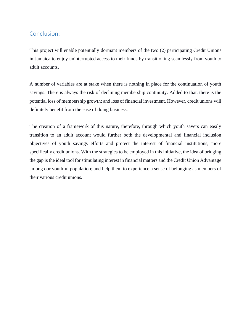## Conclusion:

This project will enable potentially dormant members of the two (2) participating Credit Unions in Jamaica to enjoy uninterrupted access to their funds by transitioning seamlessly from youth to adult accounts.

A number of variables are at stake when there is nothing in place for the continuation of youth savings. There is always the risk of declining membership continuity. Added to that, there is the potential loss of membership growth; and loss of financial investment. However, credit unions will definitely benefit from the ease of doing business.

The creation of a framework of this nature, therefore, through which youth savers can easily transition to an adult account would further both the developmental and financial inclusion objectives of youth savings efforts and protect the interest of financial institutions, more specifically credit unions. With the strategies to be employed in this initiative, the idea of bridging the gap is the ideal tool for stimulating interest in financial matters and the Credit Union Advantage among our youthful population; and help them to experience a sense of belonging as members of their various credit unions.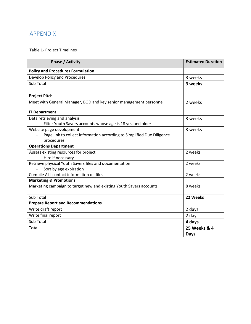# <span id="page-9-0"></span>APPENDIX

## Table 1- Project Timelines

| <b>Phase / Activity</b>                                                | <b>Estimated Duration</b> |
|------------------------------------------------------------------------|---------------------------|
| <b>Policy and Procedures Formulation</b>                               |                           |
| Develop Policy and Procedures                                          | 3 weeks                   |
| Sub Total                                                              | 3 weeks                   |
|                                                                        |                           |
| <b>Project Pitch</b>                                                   |                           |
| Meet with General Manager, BOD and key senior management personnel     | 2 weeks                   |
| <b>IT Department</b>                                                   |                           |
| Data retrieving and analysis                                           | 3 weeks                   |
| Filter Youth Savers accounts whose age is 18 yrs. and older            |                           |
| Website page development                                               | 3 weeks                   |
| Page link to collect information according to Simplified Due Diligence |                           |
| procedures                                                             |                           |
| <b>Operations Department</b>                                           |                           |
| Assess existing resources for project                                  | 2 weeks                   |
| Hire if necessary                                                      |                           |
| Retrieve physical Youth Savers files and documentation                 | 2 weeks                   |
| Sort by age expiration                                                 |                           |
| Compile ALL contact information on files                               | 2 weeks                   |
| <b>Marketing &amp; Promotions</b>                                      |                           |
| Marketing campaign to target new and existing Youth Savers accounts    | 8 weeks                   |
| Sub Total                                                              | 22 Weeks                  |
| <b>Prepare Report and Recommendations</b>                              |                           |
| Write draft report                                                     | 2 days                    |
| Write final report                                                     | 2 day                     |
| Sub Total                                                              | 4 days                    |
| <b>Total</b>                                                           | 25 Weeks & 4              |
|                                                                        | <b>Days</b>               |